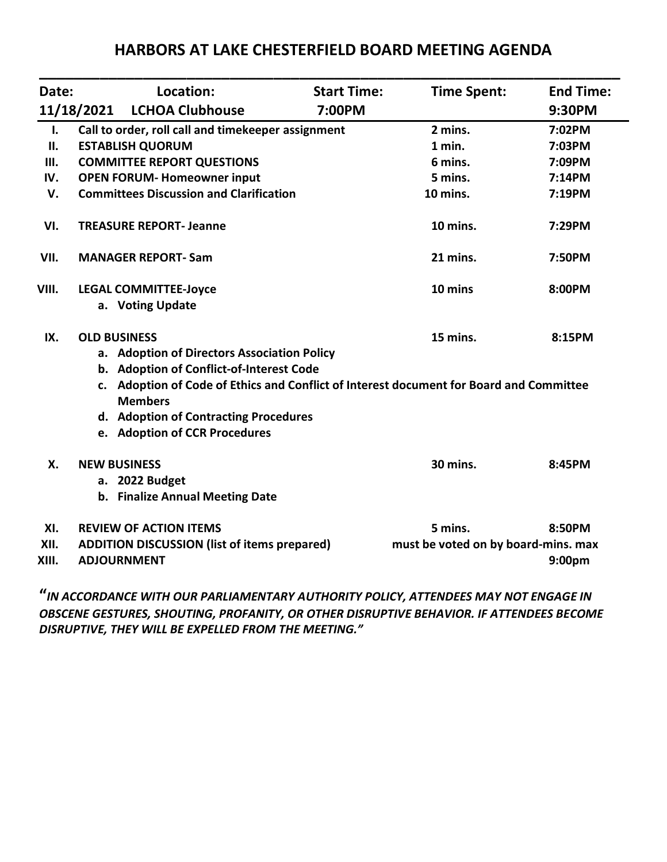| Date:          |                                                                                                           | Location:                                          | <b>Start Time:</b> | <b>Time Spent:</b>                                        | <b>End Time:</b> |
|----------------|-----------------------------------------------------------------------------------------------------------|----------------------------------------------------|--------------------|-----------------------------------------------------------|------------------|
|                | 11/18/2021                                                                                                | <b>LCHOA Clubhouse</b>                             | 7:00PM             |                                                           | 9:30PM           |
| $\mathbf{I}$ . |                                                                                                           | Call to order, roll call and timekeeper assignment |                    | 2 mins.                                                   | 7:02PM           |
| П.             |                                                                                                           | <b>ESTABLISH QUORUM</b>                            |                    | 1 min.                                                    | 7:03PM           |
| Ш.             | <b>COMMITTEE REPORT QUESTIONS</b>                                                                         |                                                    |                    | 6 mins.                                                   | 7:09PM           |
| IV.            |                                                                                                           | <b>OPEN FORUM- Homeowner input</b>                 |                    | 5 mins.                                                   | 7:14PM           |
| V.             | <b>Committees Discussion and Clarification</b>                                                            |                                                    |                    | 10 mins.                                                  | 7:19PM           |
| VI.            | <b>TREASURE REPORT- Jeanne</b>                                                                            |                                                    |                    | 10 mins.                                                  | 7:29PM           |
| VII.           | <b>MANAGER REPORT-Sam</b>                                                                                 |                                                    |                    | 21 mins.                                                  | 7:50PM           |
| VIII.          |                                                                                                           | <b>LEGAL COMMITTEE-Joyce</b>                       |                    | 10 mins                                                   | 8:00PM           |
|                |                                                                                                           | a. Voting Update                                   |                    |                                                           |                  |
| IX.            | <b>OLD BUSINESS</b>                                                                                       |                                                    |                    | 15 mins.                                                  | 8:15PM           |
|                |                                                                                                           | a. Adoption of Directors Association Policy        |                    |                                                           |                  |
|                | b. Adoption of Conflict-of-Interest Code                                                                  |                                                    |                    |                                                           |                  |
|                | c. Adoption of Code of Ethics and Conflict of Interest document for Board and Committee<br><b>Members</b> |                                                    |                    |                                                           |                  |
|                |                                                                                                           | d. Adoption of Contracting Procedures              |                    |                                                           |                  |
|                |                                                                                                           | e. Adoption of CCR Procedures                      |                    |                                                           |                  |
| X.             | <b>NEW BUSINESS</b>                                                                                       |                                                    | 30 mins.           | 8:45PM                                                    |                  |
|                |                                                                                                           | a. 2022 Budget                                     |                    |                                                           |                  |
|                |                                                                                                           | b. Finalize Annual Meeting Date                    |                    |                                                           |                  |
| XI.            | <b>REVIEW OF ACTION ITEMS</b>                                                                             |                                                    |                    | 5 mins.                                                   | 8:50PM           |
| XII.<br>XIII.  | <b>ADDITION DISCUSSION (list of items prepared)</b><br><b>ADJOURNMENT</b>                                 |                                                    |                    | must be voted on by board-mins. max<br>9:00 <sub>pm</sub> |                  |

# **HARBORS AT LAKE CHESTERFIELD BOARD MEETING AGENDA**

**"***IN ACCORDANCE WITH OUR PARLIAMENTARY AUTHORITY POLICY, ATTENDEES MAY NOT ENGAGE IN OBSCENE GESTURES, SHOUTING, PROFANITY, OR OTHER DISRUPTIVE BEHAVIOR. IF ATTENDEES BECOME DISRUPTIVE, THEY WILL BE EXPELLED FROM THE MEETING."*